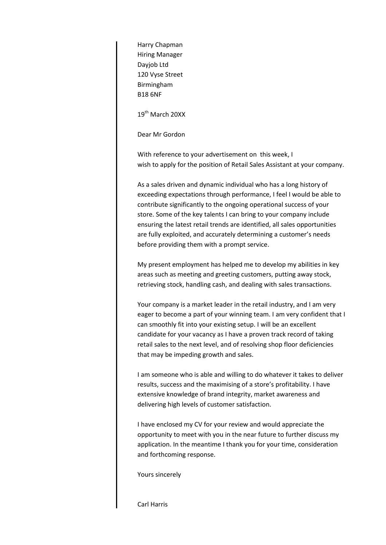Harry Chapman Hiring Manager Dayjob Ltd 120 Vyse Street Birmingham B18 6NF

19<sup>th</sup> March 20XX

Dear Mr Gordon

With reference to your advertisement on this week, I wish to apply for the position of Retail Sales Assistant at your company.

As a sales driven and dynamic individual who has a long history of exceeding expectations through performance, I feel I would be able to contribute significantly to the ongoing operational success of your store. Some of the key talents I can bring to your company include ensuring the latest retail trends are identified, all sales opportunities are fully exploited, and accurately determining a customer's needs before providing them with a prompt service.

My present employment has helped me to develop my abilities in key areas such as meeting and greeting customers, putting away stock, retrieving stock, handling cash, and dealing with sales transactions.

Your company is a market leader in the retail industry, and I am very eager to become a part of your winning team. I am very confident that I can smoothly fit into your existing setup. I will be an excellent candidate for your vacancy as I have a proven track record of taking retail sales to the next level, and of resolving shop floor deficiencies that may be impeding growth and sales.

I am someone who is able and willing to do whatever it takes to deliver results, success and the maximising of a store's profitability. I have extensive knowledge of brand integrity, market awareness and delivering high levels of customer satisfaction.

I have enclosed my CV for your review and would appreciate the opportunity to meet with you in the near future to further discuss my application. In the meantime I thank you for your time, consideration and forthcoming response.

Yours sincerely

Carl Harris